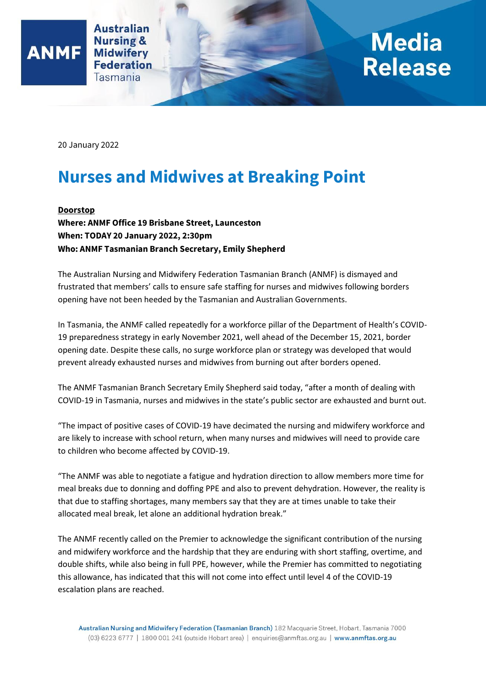

## **Media Release**

20 January 2022

**ANMF** 

## **Nurses and Midwives at Breaking Point**

**Doorstop**

**Where: ANMF Office 19 Brisbane Street, Launceston When: TODAY 20 January 2022, 2:30pm Who: ANMF Tasmanian Branch Secretary, Emily Shepherd**

The Australian Nursing and Midwifery Federation Tasmanian Branch (ANMF) is dismayed and frustrated that members' calls to ensure safe staffing for nurses and midwives following borders opening have not been heeded by the Tasmanian and Australian Governments.

In Tasmania, the ANMF called repeatedly for a workforce pillar of the Department of Health's COVID-19 preparedness strategy in early November 2021, well ahead of the December 15, 2021, border opening date. Despite these calls, no surge workforce plan or strategy was developed that would prevent already exhausted nurses and midwives from burning out after borders opened.

The ANMF Tasmanian Branch Secretary Emily Shepherd said today, "after a month of dealing with COVID-19 in Tasmania, nurses and midwives in the state's public sector are exhausted and burnt out.

"The impact of positive cases of COVID-19 have decimated the nursing and midwifery workforce and are likely to increase with school return, when many nurses and midwives will need to provide care to children who become affected by COVID-19.

"The ANMF was able to negotiate a fatigue and hydration direction to allow members more time for meal breaks due to donning and doffing PPE and also to prevent dehydration. However, the reality is that due to staffing shortages, many members say that they are at times unable to take their allocated meal break, let alone an additional hydration break."

The ANMF recently called on the Premier to acknowledge the significant contribution of the nursing and midwifery workforce and the hardship that they are enduring with short staffing, overtime, and double shifts, while also being in full PPE, however, while the Premier has committed to negotiating this allowance, has indicated that this will not come into effect until level 4 of the COVID-19 escalation plans are reached.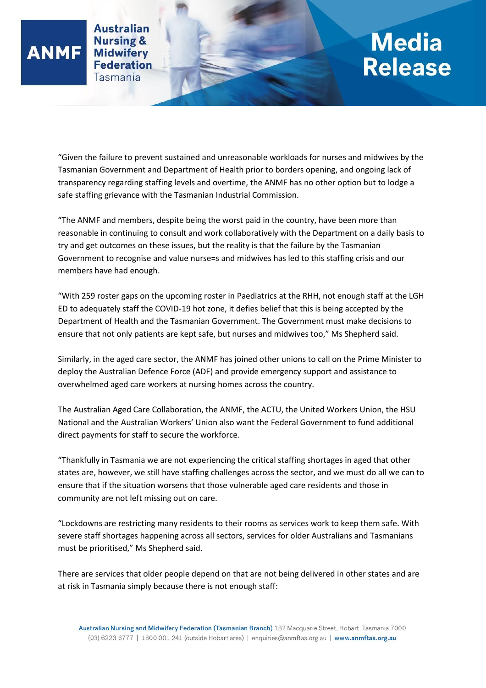**Australian Nursing & Midwiferv Federation** Tasmania

**ANMF** 

## **Media<br>Release**

"Given the failure to prevent sustained and unreasonable workloads for nurses and midwives by the Tasmanian Government and Department of Health prior to borders opening, and ongoing lack of transparency regarding staffing levels and overtime, the ANMF has no other option but to lodge a safe staffing grievance with the Tasmanian Industrial Commission.

"The ANMF and members, despite being the worst paid in the country, have been more than reasonable in continuing to consult and work collaboratively with the Department on a daily basis to try and get outcomes on these issues, but the reality is that the failure by the Tasmanian Government to recognise and value nurse=s and midwives has led to this staffing crisis and our members have had enough.

"With 259 roster gaps on the upcoming roster in Paediatrics at the RHH, not enough staff at the LGH ED to adequately staff the COVID-19 hot zone, it defies belief that this is being accepted by the Department of Health and the Tasmanian Government. The Government must make decisions to ensure that not only patients are kept safe, but nurses and midwives too," Ms Shepherd said.

Similarly, in the aged care sector, the ANMF has joined other unions to call on the Prime Minister to deploy the Australian Defence Force (ADF) and provide emergency support and assistance to overwhelmed aged care workers at nursing homes across the country.

The Australian Aged Care Collaboration, the ANMF, the ACTU, the United Workers Union, the HSU National and the Australian Workers' Union also want the Federal Government to fund additional direct payments for staff to secure the workforce.

"Thankfully in Tasmania we are not experiencing the critical staffing shortages in aged that other states are, however, we still have staffing challenges across the sector, and we must do all we can to ensure that if the situation worsens that those vulnerable aged care residents and those in community are not left missing out on care.

"Lockdowns are restricting many residents to their rooms as services work to keep them safe. With severe staff shortages happening across all sectors, services for older Australians and Tasmanians must be prioritised," Ms Shepherd said.

There are services that older people depend on that are not being delivered in other states and are at risk in Tasmania simply because there is not enough staff: